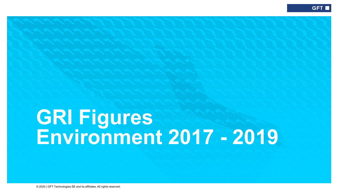## **GRI Figures Environment 2017 - 2019**

© 2020 | GFT Technologies SE and its affiliates. All rights reserved.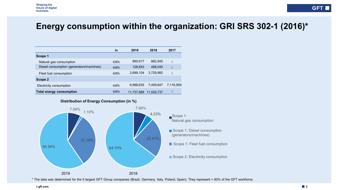## **Energy consumption within the organization: GRI SRS 302-1 (2016)\***

|                                          | in         | 2019       | 2018       | 2017      |
|------------------------------------------|------------|------------|------------|-----------|
| Scope 1                                  |            |            |            |           |
| Natural gas consumption                  | <b>kWh</b> | 890,617    | 882.945    |           |
| Diesel consumption (generators/machines) | <b>kWh</b> | 128,653    | 488,040    |           |
| Fleet fuel consumption                   | <b>kWh</b> | 2.699.104  | 3.729.982  |           |
| Scope 2                                  |            |            |            |           |
| Electricity consumption                  | <b>kWh</b> | 6.988.635  | 7.459.647  | 7.116.959 |
| <b>Total energy consumption</b>          | kWh        | 11,737,888 | 11,529,737 |           |





\* The data was determined for the 5 largest GFT Group companies (Brazil, Germany, Italy, Poland, Spain). They represent > 80% of the GFT workforce.

**gft.com**

**GFT**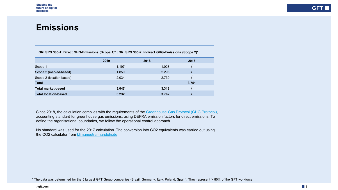## **Emissions**

| GRI SRS 305-1: Direct GHG-Emissions (Scope 1)*   GRI SRS 305-2: Indirect GHG-Emissions (Scope 2)* |  |  |  |  |  |
|---------------------------------------------------------------------------------------------------|--|--|--|--|--|
|---------------------------------------------------------------------------------------------------|--|--|--|--|--|

|                             | 2019  | 2018  | 2017  |
|-----------------------------|-------|-------|-------|
| Scope 1                     | 1.197 | 1.023 |       |
| Scope 2 (marked-based)      | 1.850 | 2.295 |       |
| Scope 2 (location-based)    | 2.034 | 2.739 |       |
| <b>Total</b>                |       |       | 3.751 |
| <b>Total market-based</b>   | 3.047 | 3.318 |       |
| <b>Total location-based</b> | 3.232 | 3.762 |       |
|                             |       |       |       |

Since 2018, the calculation complies with the requirements of the Greenhouse [Gas Protocol \(GHG Protocol\),](https://ghgprotocol.org/corporate-standard) accounting standard for greenhouse gas emissions, using DEFRA emission factors for direct emissions. To define the organisational boundaries, we follow the operational control approach.

No standard was used for the 2017 calculation. The conversion into CO2 equivalents was carried out using the CO2 calculator from [klimaneutral-handeln.de](https://www.klimaneutral-handeln.de/php/kompens-berechnen.php#rechner)

\* The data was determined for the 5 largest GFT Group companies (Brazil, Germany, Italy, Poland, Spain). They represent > 80% of the GFT workforce.